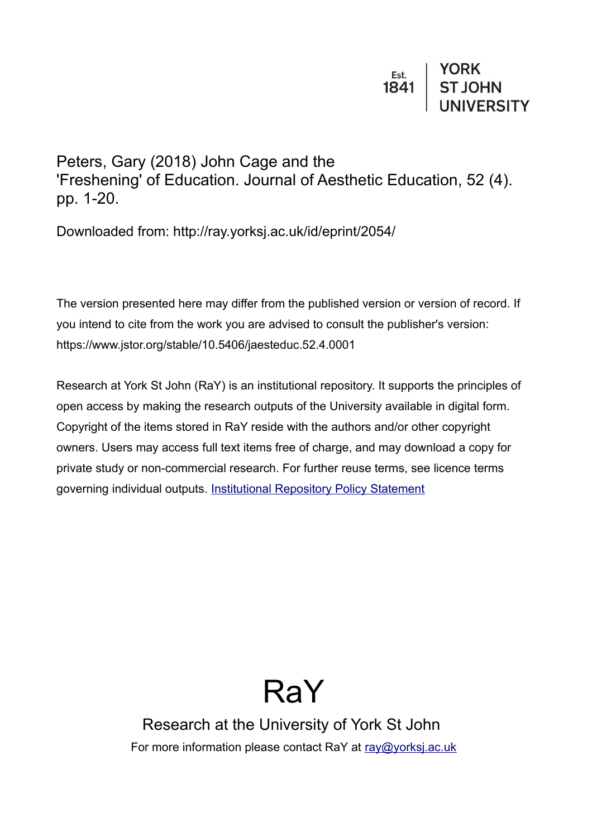Peters, Gary (2018) John Cage and the 'Freshening' of Education. Journal of Aesthetic Education, 52 (4). pp. 1-20.

Downloaded from: http://ray.yorksj.ac.uk/id/eprint/2054/

The version presented here may differ from the published version or version of record. If you intend to cite from the work you are advised to consult the publisher's version: https://www.jstor.org/stable/10.5406/jaesteduc.52.4.0001

Research at York St John (RaY) is an institutional repository. It supports the principles of open access by making the research outputs of the University available in digital form. Copyright of the items stored in RaY reside with the authors and/or other copyright owners. Users may access full text items free of charge, and may download a copy for private study or non-commercial research. For further reuse terms, see licence terms governing individual outputs. [Institutional Repository Policy Statement](https://www.yorksj.ac.uk/ils/repository-policies/)

# RaY

Research at the University of York St John For more information please contact RaY at [ray@yorksj.ac.uk](mailto:ray@yorksj.ac.uk)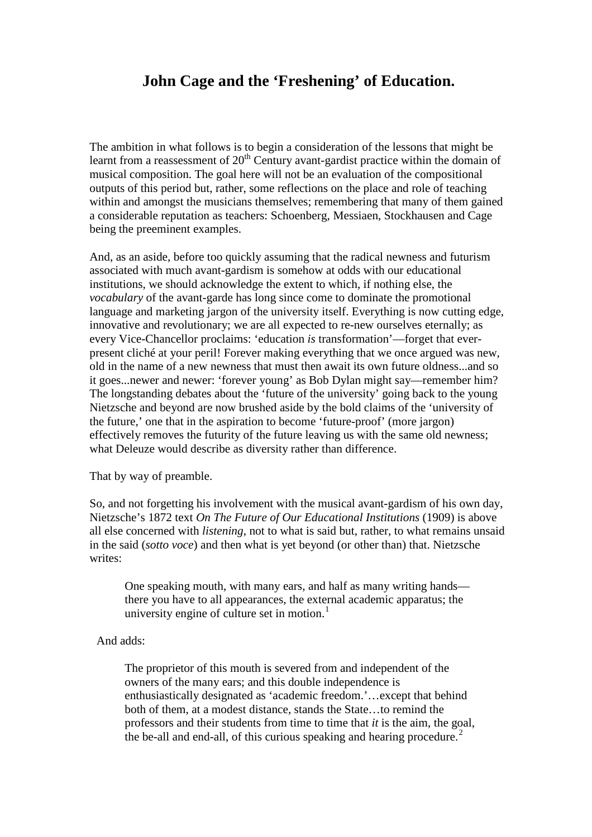# **John Cage and the 'Freshening' of Education.**

The ambition in what follows is to begin a consideration of the lessons that might be learnt from a reassessment of  $20<sup>th</sup>$  Century avant-gardist practice within the domain of musical composition. The goal here will not be an evaluation of the compositional outputs of this period but, rather, some reflections on the place and role of teaching within and amongst the musicians themselves; remembering that many of them gained a considerable reputation as teachers: Schoenberg, Messiaen, Stockhausen and Cage being the preeminent examples.

And, as an aside, before too quickly assuming that the radical newness and futurism associated with much avant-gardism is somehow at odds with our educational institutions, we should acknowledge the extent to which, if nothing else, the *vocabulary* of the avant-garde has long since come to dominate the promotional language and marketing jargon of the university itself. Everything is now cutting edge, innovative and revolutionary; we are all expected to re-new ourselves eternally; as every Vice-Chancellor proclaims: 'education *is* transformation'—forget that everpresent cliché at your peril! Forever making everything that we once argued was new, old in the name of a new newness that must then await its own future oldness...and so it goes...newer and newer: 'forever young' as Bob Dylan might say—remember him? The longstanding debates about the 'future of the university' going back to the young Nietzsche and beyond are now brushed aside by the bold claims of the 'university of the future,' one that in the aspiration to become 'future-proof' (more jargon) effectively removes the futurity of the future leaving us with the same old newness; what Deleuze would describe as diversity rather than difference.

That by way of preamble.

So, and not forgetting his involvement with the musical avant-gardism of his own day, Nietzsche's 1872 text *On The Future of Our Educational Institutions* (1909) is above all else concerned with *listening*, not to what is said but, rather, to what remains unsaid in the said (*sotto voce*) and then what is yet beyond (or other than) that. Nietzsche writes:

One speaking mouth, with many ears, and half as many writing hands there you have to all appearances, the external academic apparatus; the university engine of culture set in motion. $<sup>1</sup>$  $<sup>1</sup>$  $<sup>1</sup>$ </sup>

And adds:

The proprietor of this mouth is severed from and independent of the owners of the many ears; and this double independence is enthusiastically designated as 'academic freedom.'…except that behind both of them, at a modest distance, stands the State…to remind the professors and their students from time to time that *it* is the aim, the goal, the be-all and end-all, of this curious speaking and hearing procedure.<sup>[2](#page-17-1)</sup>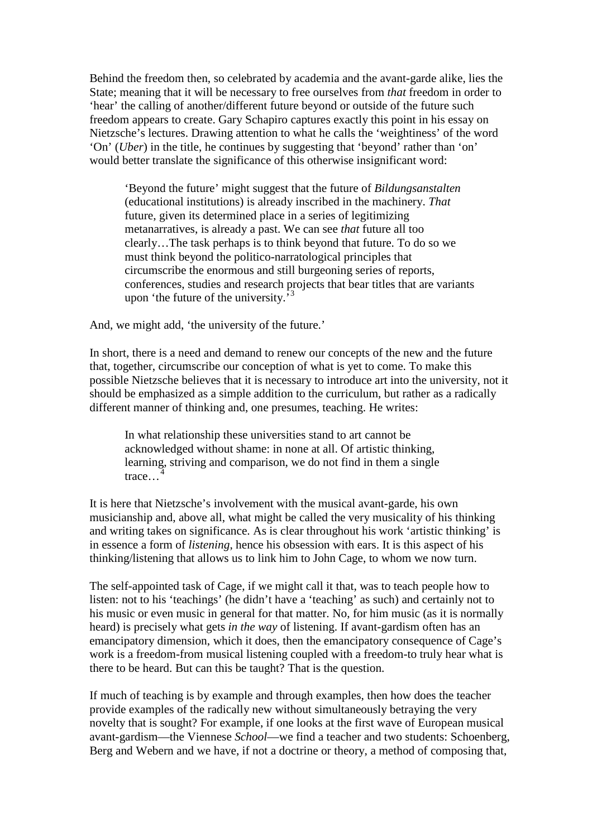Behind the freedom then, so celebrated by academia and the avant-garde alike, lies the State; meaning that it will be necessary to free ourselves from *that* freedom in order to 'hear' the calling of another/different future beyond or outside of the future such freedom appears to create. Gary Schapiro captures exactly this point in his essay on Nietzsche's lectures. Drawing attention to what he calls the 'weightiness' of the word 'On' (*Uber*) in the title, he continues by suggesting that 'beyond' rather than 'on' would better translate the significance of this otherwise insignificant word:

'Beyond the future' might suggest that the future of *Bildungsanstalten* (educational institutions) is already inscribed in the machinery. *That* future, given its determined place in a series of legitimizing metanarratives, is already a past. We can see *that* future all too clearly…The task perhaps is to think beyond that future. To do so we must think beyond the politico-narratological principles that circumscribe the enormous and still burgeoning series of reports, conferences, studies and research projects that bear titles that are variants upon 'the future of the university.'<sup>[3](#page-18-0)</sup>

And, we might add, 'the university of the future.'

In short, there is a need and demand to renew our concepts of the new and the future that, together, circumscribe our conception of what is yet to come. To make this possible Nietzsche believes that it is necessary to introduce art into the university, not it should be emphasized as a simple addition to the curriculum, but rather as a radically different manner of thinking and, one presumes, teaching. He writes:

In what relationship these universities stand to art cannot be acknowledged without shame: in none at all. Of artistic thinking, learning, striving and comparison, we do not find in them a single trace...<sup>[4](#page-18-1)</sup>

It is here that Nietzsche's involvement with the musical avant-garde, his own musicianship and, above all, what might be called the very musicality of his thinking and writing takes on significance. As is clear throughout his work 'artistic thinking' is in essence a form of *listening*, hence his obsession with ears. It is this aspect of his thinking/listening that allows us to link him to John Cage, to whom we now turn.

The self-appointed task of Cage, if we might call it that, was to teach people how to listen: not to his 'teachings' (he didn't have a 'teaching' as such) and certainly not to his music or even music in general for that matter. No, for him music (as it is normally heard) is precisely what gets *in the way* of listening. If avant-gardism often has an emancipatory dimension, which it does, then the emancipatory consequence of Cage's work is a freedom-from musical listening coupled with a freedom-to truly hear what is there to be heard. But can this be taught? That is the question.

If much of teaching is by example and through examples, then how does the teacher provide examples of the radically new without simultaneously betraying the very novelty that is sought? For example, if one looks at the first wave of European musical avant-gardism—the Viennese *School*—we find a teacher and two students: Schoenberg, Berg and Webern and we have, if not a doctrine or theory, a method of composing that,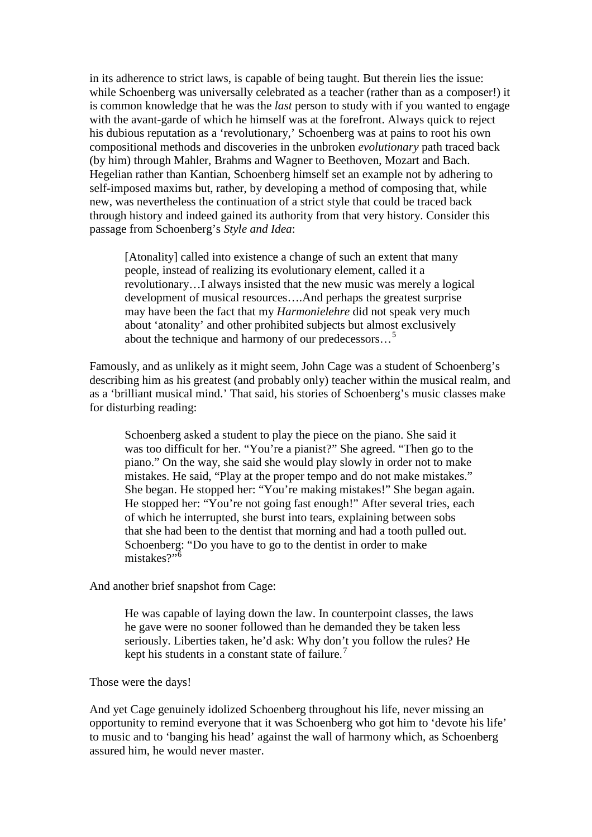in its adherence to strict laws, is capable of being taught. But therein lies the issue: while Schoenberg was universally celebrated as a teacher (rather than as a composer!) it is common knowledge that he was the *last* person to study with if you wanted to engage with the avant-garde of which he himself was at the forefront. Always quick to reject his dubious reputation as a 'revolutionary,' Schoenberg was at pains to root his own compositional methods and discoveries in the unbroken *evolutionary* path traced back (by him) through Mahler, Brahms and Wagner to Beethoven, Mozart and Bach. Hegelian rather than Kantian, Schoenberg himself set an example not by adhering to self-imposed maxims but, rather, by developing a method of composing that, while new, was nevertheless the continuation of a strict style that could be traced back through history and indeed gained its authority from that very history. Consider this passage from Schoenberg's *Style and Idea*:

[Atonality] called into existence a change of such an extent that many people, instead of realizing its evolutionary element, called it a revolutionary…I always insisted that the new music was merely a logical development of musical resources….And perhaps the greatest surprise may have been the fact that my *Harmonielehre* did not speak very much about 'atonality' and other prohibited subjects but almost exclusively about the technique and harmony of our predecessors…[5](#page-18-2)

Famously, and as unlikely as it might seem, John Cage was a student of Schoenberg's describing him as his greatest (and probably only) teacher within the musical realm, and as a 'brilliant musical mind.' That said, his stories of Schoenberg's music classes make for disturbing reading:

Schoenberg asked a student to play the piece on the piano. She said it was too difficult for her. "You're a pianist?" She agreed. "Then go to the piano." On the way, she said she would play slowly in order not to make mistakes. He said, "Play at the proper tempo and do not make mistakes." She began. He stopped her: "You're making mistakes!" She began again. He stopped her: "You're not going fast enough!" After several tries, each of which he interrupted, she burst into tears, explaining between sobs that she had been to the dentist that morning and had a tooth pulled out. Schoenberg: "Do you have to go to the dentist in order to make mistakes?"<sup>[6](#page-18-3)</sup>

And another brief snapshot from Cage:

He was capable of laying down the law. In counterpoint classes, the laws he gave were no sooner followed than he demanded they be taken less seriously. Liberties taken, he'd ask: Why don't you follow the rules? He kept his students in a constant state of failure.<sup>[7](#page-18-4)</sup>

#### Those were the days!

And yet Cage genuinely idolized Schoenberg throughout his life, never missing an opportunity to remind everyone that it was Schoenberg who got him to 'devote his life' to music and to 'banging his head' against the wall of harmony which, as Schoenberg assured him, he would never master.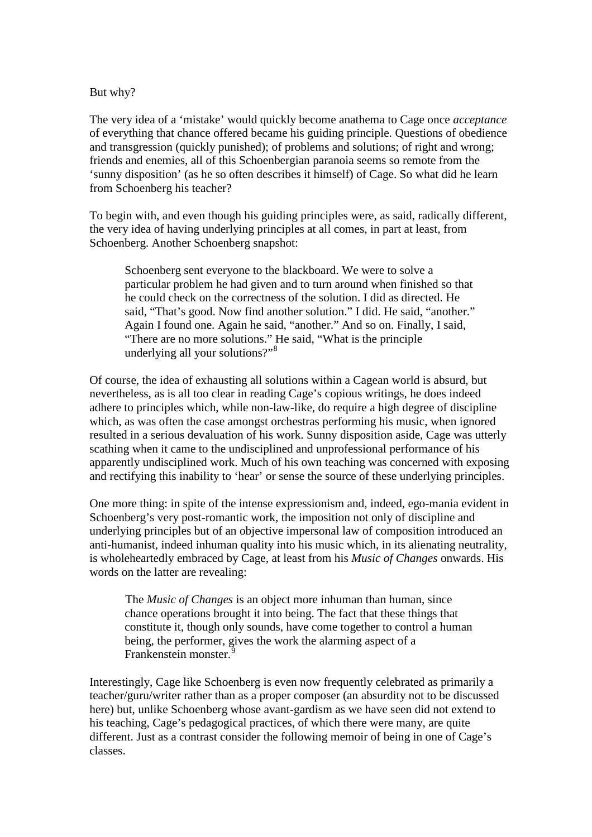#### But why?

The very idea of a 'mistake' would quickly become anathema to Cage once *acceptance* of everything that chance offered became his guiding principle. Questions of obedience and transgression (quickly punished); of problems and solutions; of right and wrong; friends and enemies, all of this Schoenbergian paranoia seems so remote from the 'sunny disposition' (as he so often describes it himself) of Cage. So what did he learn from Schoenberg his teacher?

To begin with, and even though his guiding principles were, as said, radically different, the very idea of having underlying principles at all comes, in part at least, from Schoenberg. Another Schoenberg snapshot:

Schoenberg sent everyone to the blackboard. We were to solve a particular problem he had given and to turn around when finished so that he could check on the correctness of the solution. I did as directed. He said, "That's good. Now find another solution." I did. He said, "another." Again I found one. Again he said, "another." And so on. Finally, I said, "There are no more solutions." He said, "What is the principle underlying all your solutions?"<sup>[8](#page-18-5)</sup>

Of course, the idea of exhausting all solutions within a Cagean world is absurd, but nevertheless, as is all too clear in reading Cage's copious writings, he does indeed adhere to principles which, while non-law-like, do require a high degree of discipline which, as was often the case amongst orchestras performing his music, when ignored resulted in a serious devaluation of his work. Sunny disposition aside, Cage was utterly scathing when it came to the undisciplined and unprofessional performance of his apparently undisciplined work. Much of his own teaching was concerned with exposing and rectifying this inability to 'hear' or sense the source of these underlying principles.

One more thing: in spite of the intense expressionism and, indeed, ego-mania evident in Schoenberg's very post-romantic work, the imposition not only of discipline and underlying principles but of an objective impersonal law of composition introduced an anti-humanist, indeed inhuman quality into his music which, in its alienating neutrality, is wholeheartedly embraced by Cage, at least from his *Music of Changes* onwards. His words on the latter are revealing:

The *Music of Changes* is an object more inhuman than human, since chance operations brought it into being. The fact that these things that constitute it, though only sounds, have come together to control a human being, the performer, gives the work the alarming aspect of a Frankenstein monster.

Interestingly, Cage like Schoenberg is even now frequently celebrated as primarily a teacher/guru/writer rather than as a proper composer (an absurdity not to be discussed here) but, unlike Schoenberg whose avant-gardism as we have seen did not extend to his teaching, Cage's pedagogical practices, of which there were many, are quite different. Just as a contrast consider the following memoir of being in one of Cage's classes.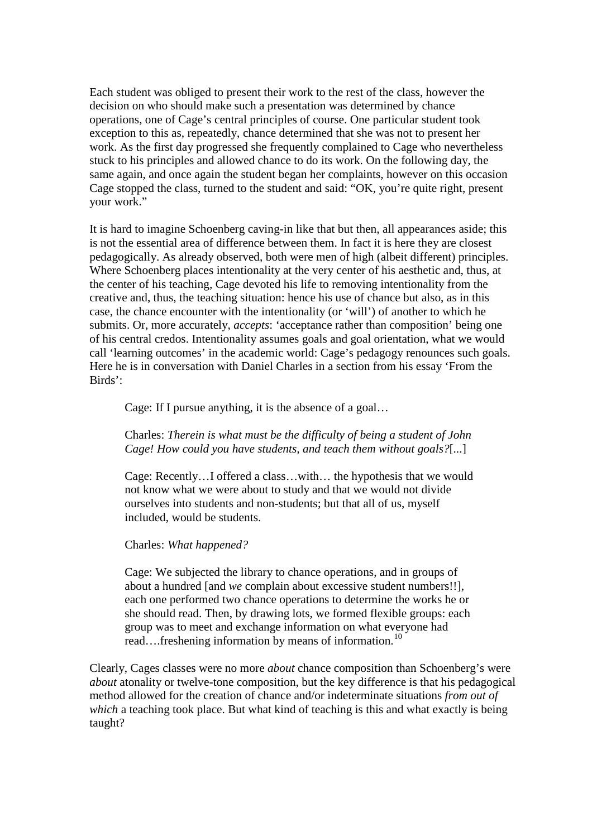Each student was obliged to present their work to the rest of the class, however the decision on who should make such a presentation was determined by chance operations, one of Cage's central principles of course. One particular student took exception to this as, repeatedly, chance determined that she was not to present her work. As the first day progressed she frequently complained to Cage who nevertheless stuck to his principles and allowed chance to do its work. On the following day, the same again, and once again the student began her complaints, however on this occasion Cage stopped the class, turned to the student and said: "OK, you're quite right, present your work."

It is hard to imagine Schoenberg caving-in like that but then, all appearances aside; this is not the essential area of difference between them. In fact it is here they are closest pedagogically. As already observed, both were men of high (albeit different) principles. Where Schoenberg places intentionality at the very center of his aesthetic and, thus, at the center of his teaching, Cage devoted his life to removing intentionality from the creative and, thus, the teaching situation: hence his use of chance but also, as in this case, the chance encounter with the intentionality (or 'will') of another to which he submits. Or, more accurately, *accepts*: 'acceptance rather than composition' being one of his central credos. Intentionality assumes goals and goal orientation, what we would call 'learning outcomes' in the academic world: Cage's pedagogy renounces such goals. Here he is in conversation with Daniel Charles in a section from his essay 'From the Birds':

Cage: If I pursue anything, it is the absence of a goal…

#### Charles: *Therein is what must be the difficulty of being a student of John Cage! How could you have students, and teach them without goals?*[*...*]

Cage: Recently…I offered a class…with… the hypothesis that we would not know what we were about to study and that we would not divide ourselves into students and non-students; but that all of us, myself included, would be students.

#### Charles: *What happened?*

Cage: We subjected the library to chance operations, and in groups of about a hundred [and *we* complain about excessive student numbers!!], each one performed two chance operations to determine the works he or she should read. Then, by drawing lots, we formed flexible groups: each group was to meet and exchange information on what everyone had read....freshening information by means of information.<sup>[10](#page-18-7)</sup>

Clearly, Cages classes were no more *about* chance composition than Schoenberg's were *about* atonality or twelve-tone composition, but the key difference is that his pedagogical method allowed for the creation of chance and/or indeterminate situations *from out of which* a teaching took place. But what kind of teaching is this and what exactly is being taught?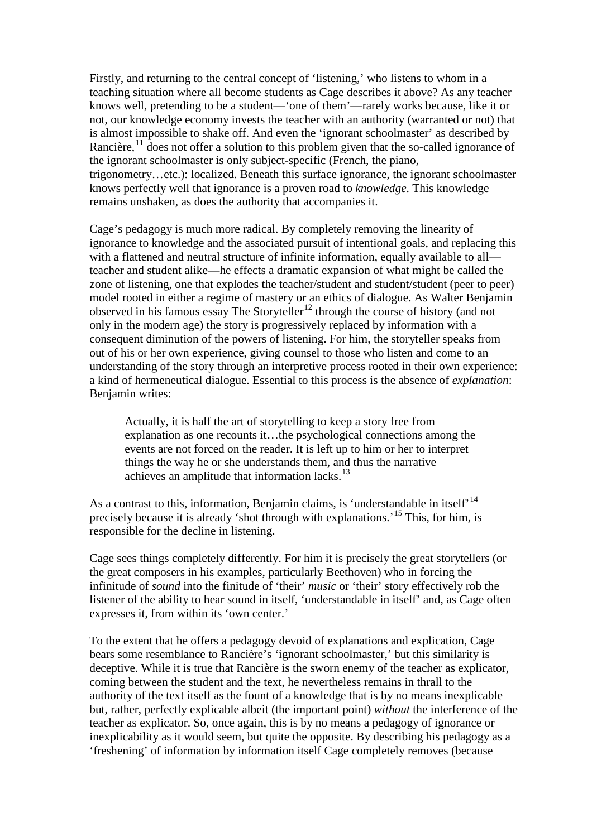Firstly, and returning to the central concept of 'listening,' who listens to whom in a teaching situation where all become students as Cage describes it above? As any teacher knows well, pretending to be a student—'one of them'—rarely works because, like it or not, our knowledge economy invests the teacher with an authority (warranted or not) that is almost impossible to shake off. And even the 'ignorant schoolmaster' as described by Rancière,<sup>[11](#page-18-8)</sup> does not offer a solution to this problem given that the so-called ignorance of the ignorant schoolmaster is only subject-specific (French, the piano, trigonometry…etc.): localized. Beneath this surface ignorance, the ignorant schoolmaster knows perfectly well that ignorance is a proven road to *knowledge*. This knowledge remains unshaken, as does the authority that accompanies it.

Cage's pedagogy is much more radical. By completely removing the linearity of ignorance to knowledge and the associated pursuit of intentional goals, and replacing this with a flattened and neutral structure of infinite information, equally available to all teacher and student alike—he effects a dramatic expansion of what might be called the zone of listening, one that explodes the teacher/student and student/student (peer to peer) model rooted in either a regime of mastery or an ethics of dialogue. As Walter Benjamin observed in his famous essay The Storyteller<sup>[12](#page-18-9)</sup> through the course of history (and not only in the modern age) the story is progressively replaced by information with a consequent diminution of the powers of listening. For him, the storyteller speaks from out of his or her own experience, giving counsel to those who listen and come to an understanding of the story through an interpretive process rooted in their own experience: a kind of hermeneutical dialogue. Essential to this process is the absence of *explanation*: Benjamin writes:

Actually, it is half the art of storytelling to keep a story free from explanation as one recounts it…the psychological connections among the events are not forced on the reader. It is left up to him or her to interpret things the way he or she understands them, and thus the narrative achieves an amplitude that information lacks.<sup>[13](#page-18-10)</sup>

As a contrast to this, information, Benjamin claims, is 'understandable in itself'<sup>[14](#page-18-11)</sup> precisely because it is already 'shot through with explanations.'[15](#page-18-12) This, for him, is responsible for the decline in listening.

Cage sees things completely differently. For him it is precisely the great storytellers (or the great composers in his examples, particularly Beethoven) who in forcing the infinitude of *sound* into the finitude of 'their' *music* or 'their' story effectively rob the listener of the ability to hear sound in itself, 'understandable in itself' and, as Cage often expresses it, from within its 'own center.'

To the extent that he offers a pedagogy devoid of explanations and explication, Cage bears some resemblance to Rancière's 'ignorant schoolmaster,' but this similarity is deceptive. While it is true that Rancière is the sworn enemy of the teacher as explicator, coming between the student and the text, he nevertheless remains in thrall to the authority of the text itself as the fount of a knowledge that is by no means inexplicable but, rather, perfectly explicable albeit (the important point) *without* the interference of the teacher as explicator. So, once again, this is by no means a pedagogy of ignorance or inexplicability as it would seem, but quite the opposite. By describing his pedagogy as a 'freshening' of information by information itself Cage completely removes (because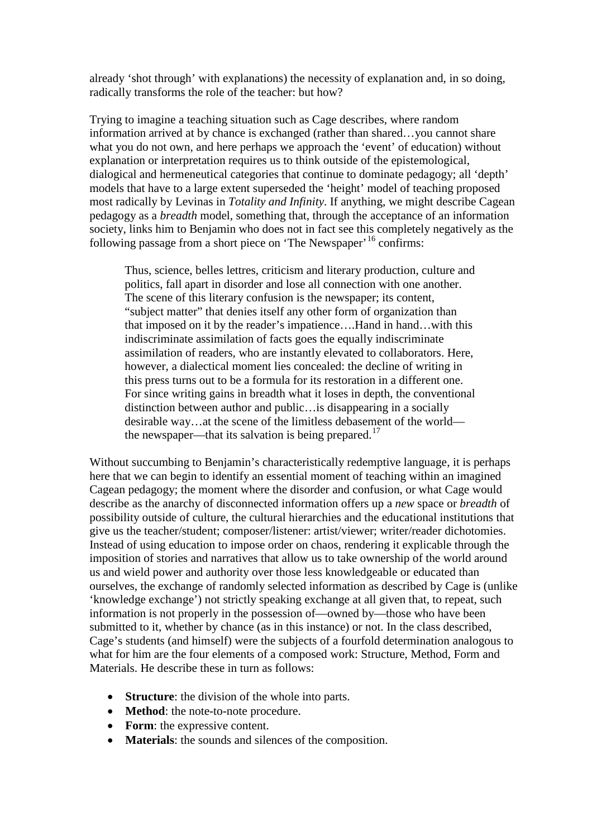already 'shot through' with explanations) the necessity of explanation and, in so doing, radically transforms the role of the teacher: but how?

Trying to imagine a teaching situation such as Cage describes, where random information arrived at by chance is exchanged (rather than shared…you cannot share what you do not own, and here perhaps we approach the 'event' of education) without explanation or interpretation requires us to think outside of the epistemological, dialogical and hermeneutical categories that continue to dominate pedagogy; all 'depth' models that have to a large extent superseded the 'height' model of teaching proposed most radically by Levinas in *Totality and Infinity*. If anything, we might describe Cagean pedagogy as a *breadth* model, something that, through the acceptance of an information society, links him to Benjamin who does not in fact see this completely negatively as the following passage from a short piece on 'The Newspaper'<sup>[16](#page-18-13)</sup> confirms:

Thus, science, belles lettres, criticism and literary production, culture and politics, fall apart in disorder and lose all connection with one another. The scene of this literary confusion is the newspaper; its content, "subject matter" that denies itself any other form of organization than that imposed on it by the reader's impatience….Hand in hand…with this indiscriminate assimilation of facts goes the equally indiscriminate assimilation of readers, who are instantly elevated to collaborators. Here, however, a dialectical moment lies concealed: the decline of writing in this press turns out to be a formula for its restoration in a different one. For since writing gains in breadth what it loses in depth, the conventional distinction between author and public…is disappearing in a socially desirable way…at the scene of the limitless debasement of the world— the newspaper—that its salvation is being prepared.<sup>[17](#page-18-14)</sup>

Without succumbing to Benjamin's characteristically redemptive language, it is perhaps here that we can begin to identify an essential moment of teaching within an imagined Cagean pedagogy; the moment where the disorder and confusion, or what Cage would describe as the anarchy of disconnected information offers up a *new* space or *breadth* of possibility outside of culture, the cultural hierarchies and the educational institutions that give us the teacher/student; composer/listener: artist/viewer; writer/reader dichotomies. Instead of using education to impose order on chaos, rendering it explicable through the imposition of stories and narratives that allow us to take ownership of the world around us and wield power and authority over those less knowledgeable or educated than ourselves, the exchange of randomly selected information as described by Cage is (unlike 'knowledge exchange') not strictly speaking exchange at all given that, to repeat, such information is not properly in the possession of—owned by—those who have been submitted to it, whether by chance (as in this instance) or not. In the class described, Cage's students (and himself) were the subjects of a fourfold determination analogous to what for him are the four elements of a composed work: Structure, Method, Form and Materials. He describe these in turn as follows:

- **Structure**: the division of the whole into parts.
- **Method**: the note-to-note procedure.
- **Form**: the expressive content.
- **Materials**: the sounds and silences of the composition.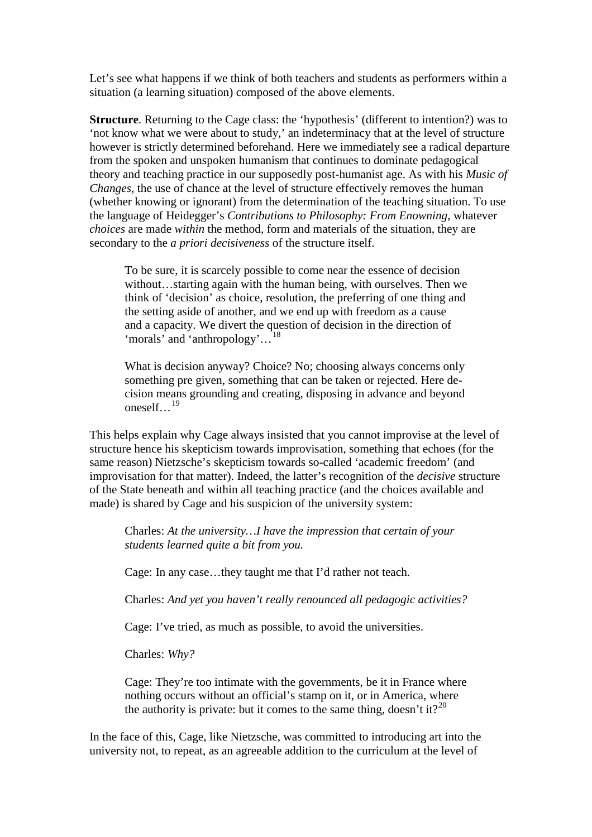Let's see what happens if we think of both teachers and students as performers within a situation (a learning situation) composed of the above elements.

**Structure**. Returning to the Cage class: the 'hypothesis' (different to intention?) was to 'not know what we were about to study,' an indeterminacy that at the level of structure however is strictly determined beforehand. Here we immediately see a radical departure from the spoken and unspoken humanism that continues to dominate pedagogical theory and teaching practice in our supposedly post-humanist age. As with his *Music of Changes*, the use of chance at the level of structure effectively removes the human (whether knowing or ignorant) from the determination of the teaching situation. To use the language of Heidegger's *Contributions to Philosophy: From Enowning*, whatever *choices* are made *within* the method, form and materials of the situation, they are secondary to the *a priori decisiveness* of the structure itself.

To be sure, it is scarcely possible to come near the essence of decision without…starting again with the human being, with ourselves. Then we think of 'decision' as choice, resolution, the preferring of one thing and the setting aside of another, and we end up with freedom as a cause and a capacity. We divert the question of decision in the direction of 'morals' and 'anthropology'...<sup>[18](#page-18-15)</sup>

What is decision anyway? Choice? No; choosing always concerns only something pre given, something that can be taken or rejected. Here decision means grounding and creating, disposing in advance and beyond oneself... $^{19}$  $^{19}$  $^{19}$ 

This helps explain why Cage always insisted that you cannot improvise at the level of structure hence his skepticism towards improvisation, something that echoes (for the same reason) Nietzsche's skepticism towards so-called 'academic freedom' (and improvisation for that matter). Indeed, the latter's recognition of the *decisive* structure of the State beneath and within all teaching practice (and the choices available and made) is shared by Cage and his suspicion of the university system:

Charles: *At the university…I have the impression that certain of your students learned quite a bit from you.*

Cage: In any case…they taught me that I'd rather not teach.

Charles: *And yet you haven't really renounced all pedagogic activities?*

Cage: I've tried, as much as possible, to avoid the universities.

Charles: *Why?*

Cage: They're too intimate with the governments, be it in France where nothing occurs without an official's stamp on it, or in America, where the authority is private: but it comes to the same thing, doesn't it?<sup>[20](#page-18-17)</sup>

In the face of this, Cage, like Nietzsche, was committed to introducing art into the university not, to repeat, as an agreeable addition to the curriculum at the level of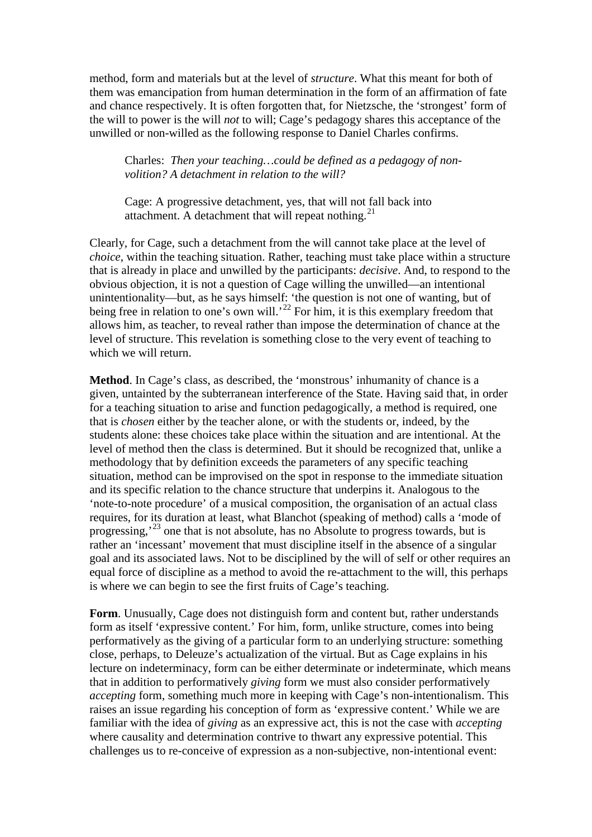method, form and materials but at the level of *structure*. What this meant for both of them was emancipation from human determination in the form of an affirmation of fate and chance respectively. It is often forgotten that, for Nietzsche, the 'strongest' form of the will to power is the will *not* to will; Cage's pedagogy shares this acceptance of the unwilled or non-willed as the following response to Daniel Charles confirms.

Charles: *Then your teaching…could be defined as a pedagogy of nonvolition? A detachment in relation to the will?*

Cage: A progressive detachment, yes, that will not fall back into attachment. A detachment that will repeat nothing. $^{21}$  $^{21}$  $^{21}$ 

Clearly, for Cage, such a detachment from the will cannot take place at the level of *choice*, within the teaching situation. Rather, teaching must take place within a structure that is already in place and unwilled by the participants: *decisive*. And, to respond to the obvious objection, it is not a question of Cage willing the unwilled—an intentional unintentionality—but, as he says himself: 'the question is not one of wanting, but of being free in relation to one's own will.<sup>[22](#page-18-19)</sup> For him, it is this exemplary freedom that allows him, as teacher, to reveal rather than impose the determination of chance at the level of structure. This revelation is something close to the very event of teaching to which we will return.

**Method**. In Cage's class, as described, the 'monstrous' inhumanity of chance is a given, untainted by the subterranean interference of the State. Having said that, in order for a teaching situation to arise and function pedagogically, a method is required, one that is *chosen* either by the teacher alone, or with the students or, indeed, by the students alone: these choices take place within the situation and are intentional. At the level of method then the class is determined. But it should be recognized that, unlike a methodology that by definition exceeds the parameters of any specific teaching situation, method can be improvised on the spot in response to the immediate situation and its specific relation to the chance structure that underpins it. Analogous to the 'note-to-note procedure' of a musical composition, the organisation of an actual class requires, for its duration at least, what Blanchot (speaking of method) calls a 'mode of progressing,'[23](#page-18-20) one that is not absolute, has no Absolute to progress towards, but is rather an 'incessant' movement that must discipline itself in the absence of a singular goal and its associated laws. Not to be disciplined by the will of self or other requires an equal force of discipline as a method to avoid the re-attachment to the will, this perhaps is where we can begin to see the first fruits of Cage's teaching.

**Form**. Unusually, Cage does not distinguish form and content but, rather understands form as itself 'expressive content.' For him, form, unlike structure, comes into being performatively as the giving of a particular form to an underlying structure: something close, perhaps, to Deleuze's actualization of the virtual. But as Cage explains in his lecture on indeterminacy, form can be either determinate or indeterminate, which means that in addition to performatively *giving* form we must also consider performatively *accepting* form, something much more in keeping with Cage's non-intentionalism. This raises an issue regarding his conception of form as 'expressive content.' While we are familiar with the idea of *giving* as an expressive act, this is not the case with *accepting* where causality and determination contrive to thwart any expressive potential. This challenges us to re-conceive of expression as a non-subjective, non-intentional event: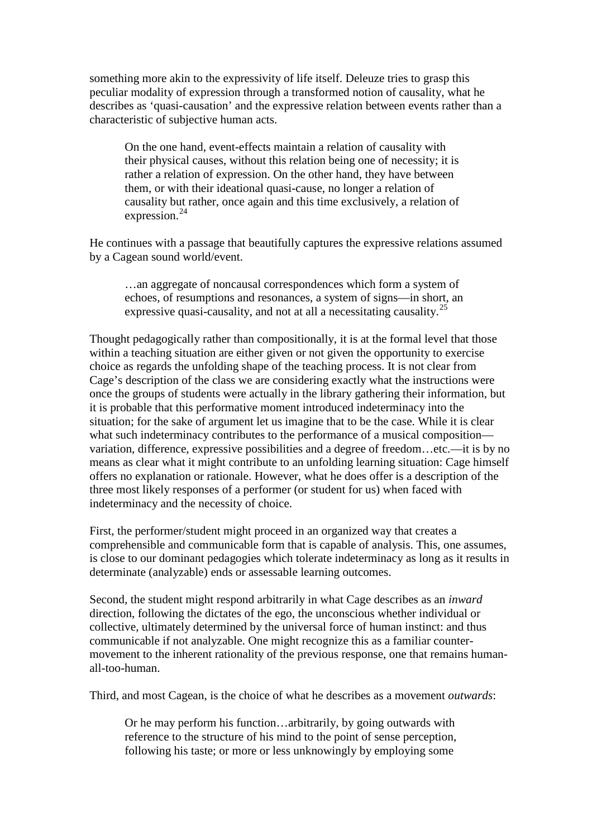something more akin to the expressivity of life itself. Deleuze tries to grasp this peculiar modality of expression through a transformed notion of causality, what he describes as 'quasi-causation' and the expressive relation between events rather than a characteristic of subjective human acts.

On the one hand, event-effects maintain a relation of causality with their physical causes, without this relation being one of necessity; it is rather a relation of expression. On the other hand, they have between them, or with their ideational quasi-cause, no longer a relation of causality but rather, once again and this time exclusively, a relation of expression.<sup>[24](#page-18-21)</sup>

He continues with a passage that beautifully captures the expressive relations assumed by a Cagean sound world/event.

…an aggregate of noncausal correspondences which form a system of echoes, of resumptions and resonances, a system of signs—in short, an expressive quasi-causality, and not at all a necessitating causality.<sup>[25](#page-18-22)</sup>

Thought pedagogically rather than compositionally, it is at the formal level that those within a teaching situation are either given or not given the opportunity to exercise choice as regards the unfolding shape of the teaching process. It is not clear from Cage's description of the class we are considering exactly what the instructions were once the groups of students were actually in the library gathering their information, but it is probable that this performative moment introduced indeterminacy into the situation; for the sake of argument let us imagine that to be the case. While it is clear what such indeterminacy contributes to the performance of a musical composition variation, difference, expressive possibilities and a degree of freedom…etc.—it is by no means as clear what it might contribute to an unfolding learning situation: Cage himself offers no explanation or rationale. However, what he does offer is a description of the three most likely responses of a performer (or student for us) when faced with indeterminacy and the necessity of choice.

First, the performer/student might proceed in an organized way that creates a comprehensible and communicable form that is capable of analysis. This, one assumes, is close to our dominant pedagogies which tolerate indeterminacy as long as it results in determinate (analyzable) ends or assessable learning outcomes.

Second, the student might respond arbitrarily in what Cage describes as an *inward* direction, following the dictates of the ego, the unconscious whether individual or collective, ultimately determined by the universal force of human instinct: and thus communicable if not analyzable. One might recognize this as a familiar countermovement to the inherent rationality of the previous response, one that remains humanall-too-human.

Third, and most Cagean, is the choice of what he describes as a movement *outwards*:

Or he may perform his function…arbitrarily, by going outwards with reference to the structure of his mind to the point of sense perception, following his taste; or more or less unknowingly by employing some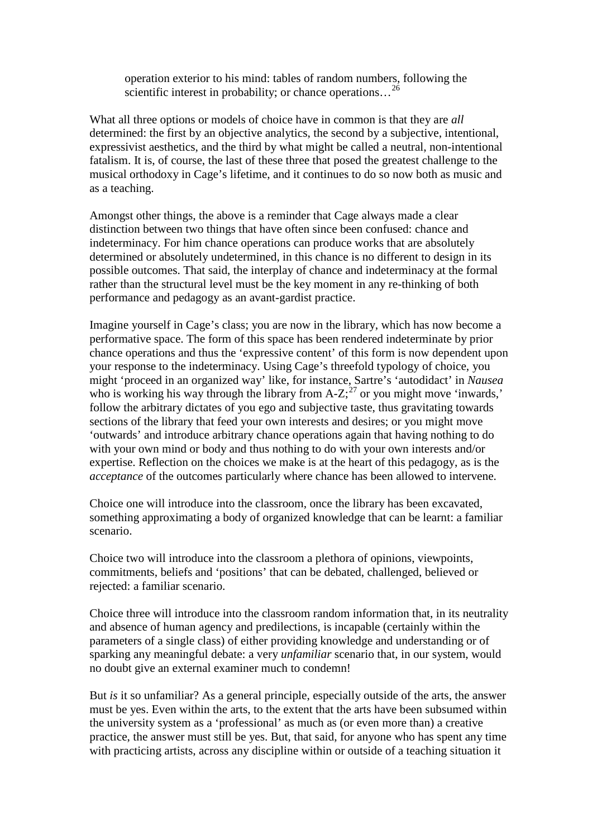operation exterior to his mind: tables of random numbers, following the scientific interest in probability; or chance operations...<sup>[26](#page-18-23)</sup>

What all three options or models of choice have in common is that they are *all* determined: the first by an objective analytics, the second by a subjective, intentional, expressivist aesthetics, and the third by what might be called a neutral, non-intentional fatalism. It is, of course, the last of these three that posed the greatest challenge to the musical orthodoxy in Cage's lifetime, and it continues to do so now both as music and as a teaching.

Amongst other things, the above is a reminder that Cage always made a clear distinction between two things that have often since been confused: chance and indeterminacy. For him chance operations can produce works that are absolutely determined or absolutely undetermined, in this chance is no different to design in its possible outcomes. That said, the interplay of chance and indeterminacy at the formal rather than the structural level must be the key moment in any re-thinking of both performance and pedagogy as an avant-gardist practice.

Imagine yourself in Cage's class; you are now in the library, which has now become a performative space. The form of this space has been rendered indeterminate by prior chance operations and thus the 'expressive content' of this form is now dependent upon your response to the indeterminacy. Using Cage's threefold typology of choice, you might 'proceed in an organized way' like, for instance, Sartre's 'autodidact' in *Nausea* who is working his way through the library from  $A-Z$ ;<sup>[27](#page-18-24)</sup> or you might move 'inwards,' follow the arbitrary dictates of you ego and subjective taste, thus gravitating towards sections of the library that feed your own interests and desires; or you might move 'outwards' and introduce arbitrary chance operations again that having nothing to do with your own mind or body and thus nothing to do with your own interests and/or expertise. Reflection on the choices we make is at the heart of this pedagogy, as is the *acceptance* of the outcomes particularly where chance has been allowed to intervene.

Choice one will introduce into the classroom, once the library has been excavated, something approximating a body of organized knowledge that can be learnt: a familiar scenario.

Choice two will introduce into the classroom a plethora of opinions, viewpoints, commitments, beliefs and 'positions' that can be debated, challenged, believed or rejected: a familiar scenario.

Choice three will introduce into the classroom random information that, in its neutrality and absence of human agency and predilections, is incapable (certainly within the parameters of a single class) of either providing knowledge and understanding or of sparking any meaningful debate: a very *unfamiliar* scenario that, in our system, would no doubt give an external examiner much to condemn!

But *is* it so unfamiliar? As a general principle, especially outside of the arts, the answer must be yes. Even within the arts, to the extent that the arts have been subsumed within the university system as a 'professional' as much as (or even more than) a creative practice, the answer must still be yes. But, that said, for anyone who has spent any time with practicing artists, across any discipline within or outside of a teaching situation it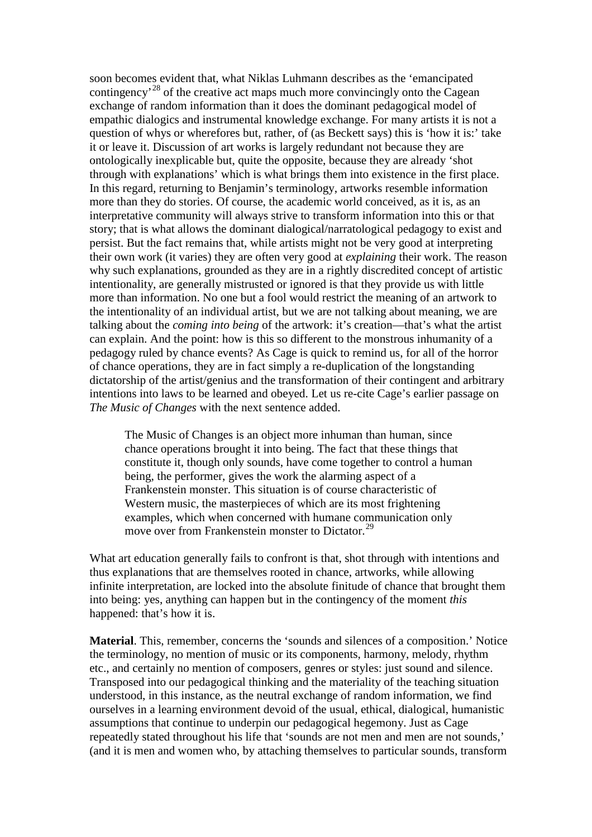soon becomes evident that, what Niklas Luhmann describes as the 'emancipated contingency<sup>'[28](#page-18-25)</sup> of the creative act maps much more convincingly onto the Cagean exchange of random information than it does the dominant pedagogical model of empathic dialogics and instrumental knowledge exchange. For many artists it is not a question of whys or wherefores but, rather, of (as Beckett says) this is 'how it is:' take it or leave it. Discussion of art works is largely redundant not because they are ontologically inexplicable but, quite the opposite, because they are already 'shot through with explanations' which is what brings them into existence in the first place. In this regard, returning to Benjamin's terminology, artworks resemble information more than they do stories. Of course, the academic world conceived, as it is, as an interpretative community will always strive to transform information into this or that story; that is what allows the dominant dialogical/narratological pedagogy to exist and persist. But the fact remains that, while artists might not be very good at interpreting their own work (it varies) they are often very good at *explaining* their work. The reason why such explanations, grounded as they are in a rightly discredited concept of artistic intentionality, are generally mistrusted or ignored is that they provide us with little more than information. No one but a fool would restrict the meaning of an artwork to the intentionality of an individual artist, but we are not talking about meaning, we are talking about the *coming into being* of the artwork: it's creation—that's what the artist can explain. And the point: how is this so different to the monstrous inhumanity of a pedagogy ruled by chance events? As Cage is quick to remind us, for all of the horror of chance operations, they are in fact simply a re-duplication of the longstanding dictatorship of the artist/genius and the transformation of their contingent and arbitrary intentions into laws to be learned and obeyed. Let us re-cite Cage's earlier passage on *The Music of Changes* with the next sentence added.

The Music of Changes is an object more inhuman than human, since chance operations brought it into being. The fact that these things that constitute it, though only sounds, have come together to control a human being, the performer, gives the work the alarming aspect of a Frankenstein monster. This situation is of course characteristic of Western music, the masterpieces of which are its most frightening examples, which when concerned with humane communication only move over from Frankenstein monster to Dictator.<sup>[29](#page-18-26)</sup>

What art education generally fails to confront is that, shot through with intentions and thus explanations that are themselves rooted in chance, artworks, while allowing infinite interpretation, are locked into the absolute finitude of chance that brought them into being: yes, anything can happen but in the contingency of the moment *this* happened: that's how it is.

**Material**. This, remember, concerns the 'sounds and silences of a composition.' Notice the terminology, no mention of music or its components, harmony, melody, rhythm etc., and certainly no mention of composers, genres or styles: just sound and silence. Transposed into our pedagogical thinking and the materiality of the teaching situation understood, in this instance, as the neutral exchange of random information, we find ourselves in a learning environment devoid of the usual, ethical, dialogical, humanistic assumptions that continue to underpin our pedagogical hegemony. Just as Cage repeatedly stated throughout his life that 'sounds are not men and men are not sounds,' (and it is men and women who, by attaching themselves to particular sounds, transform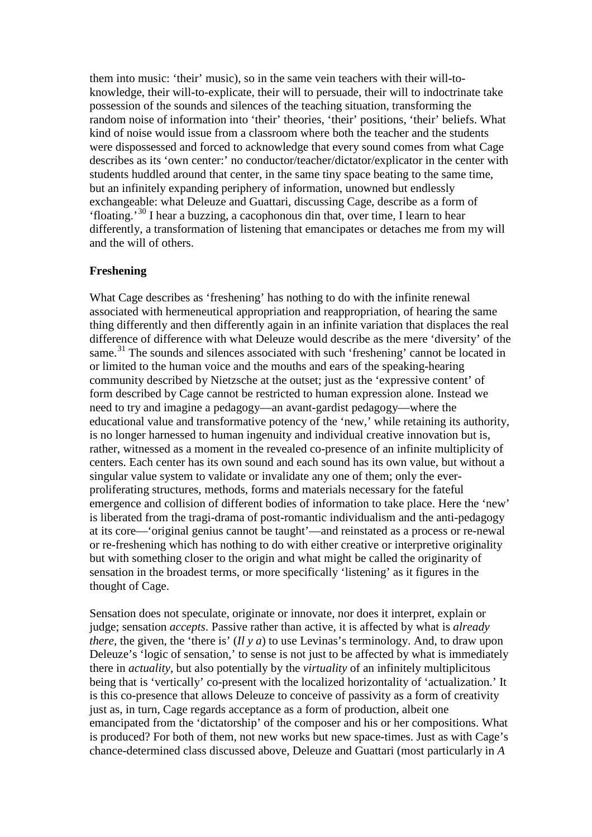them into music: 'their' music), so in the same vein teachers with their will-toknowledge, their will-to-explicate, their will to persuade, their will to indoctrinate take possession of the sounds and silences of the teaching situation, transforming the random noise of information into 'their' theories, 'their' positions, 'their' beliefs. What kind of noise would issue from a classroom where both the teacher and the students were dispossessed and forced to acknowledge that every sound comes from what Cage describes as its 'own center:' no conductor/teacher/dictator/explicator in the center with students huddled around that center, in the same tiny space beating to the same time, but an infinitely expanding periphery of information, unowned but endlessly exchangeable: what Deleuze and Guattari, discussing Cage, describe as a form of 'floating.'[30](#page-18-27) I hear a buzzing, a cacophonous din that, over time, I learn to hear differently, a transformation of listening that emancipates or detaches me from my will and the will of others.

## **Freshening**

What Cage describes as 'freshening' has nothing to do with the infinite renewal associated with hermeneutical appropriation and reappropriation, of hearing the same thing differently and then differently again in an infinite variation that displaces the real difference of difference with what Deleuze would describe as the mere 'diversity' of the same.<sup>[31](#page-18-28)</sup> The sounds and silences associated with such 'freshening' cannot be located in or limited to the human voice and the mouths and ears of the speaking-hearing community described by Nietzsche at the outset; just as the 'expressive content' of form described by Cage cannot be restricted to human expression alone. Instead we need to try and imagine a pedagogy—an avant-gardist pedagogy—where the educational value and transformative potency of the 'new,' while retaining its authority, is no longer harnessed to human ingenuity and individual creative innovation but is, rather, witnessed as a moment in the revealed co-presence of an infinite multiplicity of centers. Each center has its own sound and each sound has its own value, but without a singular value system to validate or invalidate any one of them; only the everproliferating structures, methods, forms and materials necessary for the fateful emergence and collision of different bodies of information to take place. Here the 'new' is liberated from the tragi-drama of post-romantic individualism and the anti-pedagogy at its core—'original genius cannot be taught'—and reinstated as a process or re-newal or re-freshening which has nothing to do with either creative or interpretive originality but with something closer to the origin and what might be called the originarity of sensation in the broadest terms, or more specifically 'listening' as it figures in the thought of Cage.

Sensation does not speculate, originate or innovate, nor does it interpret, explain or judge; sensation *accepts*. Passive rather than active, it is affected by what is *already there*, the given, the 'there is' (*Il y a*) to use Levinas's terminology. And, to draw upon Deleuze's 'logic of sensation,' to sense is not just to be affected by what is immediately there in *actuality*, but also potentially by the *virtuality* of an infinitely multiplicitous being that is 'vertically' co-present with the localized horizontality of 'actualization.' It is this co-presence that allows Deleuze to conceive of passivity as a form of creativity just as, in turn, Cage regards acceptance as a form of production, albeit one emancipated from the 'dictatorship' of the composer and his or her compositions. What is produced? For both of them, not new works but new space-times. Just as with Cage's chance-determined class discussed above, Deleuze and Guattari (most particularly in *A*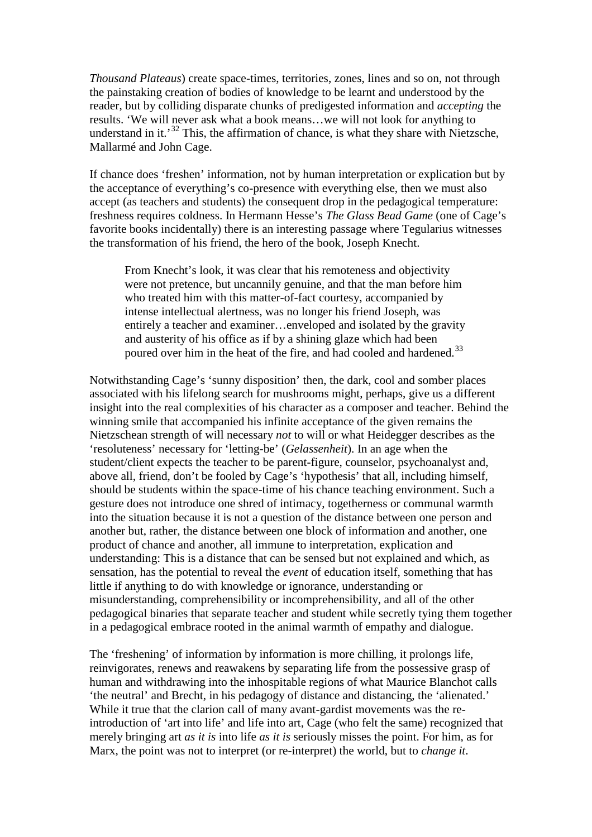*Thousand Plateaus*) create space-times, territories, zones, lines and so on, not through the painstaking creation of bodies of knowledge to be learnt and understood by the reader, but by colliding disparate chunks of predigested information and *accepting* the results. 'We will never ask what a book means…we will not look for anything to understand in it.<sup>[32](#page-18-29)</sup> This, the affirmation of chance, is what they share with Nietzsche, Mallarmé and John Cage.

If chance does 'freshen' information, not by human interpretation or explication but by the acceptance of everything's co-presence with everything else, then we must also accept (as teachers and students) the consequent drop in the pedagogical temperature: freshness requires coldness. In Hermann Hesse's *The Glass Bead Game* (one of Cage's favorite books incidentally) there is an interesting passage where Tegularius witnesses the transformation of his friend, the hero of the book, Joseph Knecht.

From Knecht's look, it was clear that his remoteness and objectivity were not pretence, but uncannily genuine, and that the man before him who treated him with this matter-of-fact courtesy, accompanied by intense intellectual alertness, was no longer his friend Joseph, was entirely a teacher and examiner…enveloped and isolated by the gravity and austerity of his office as if by a shining glaze which had been poured over him in the heat of the fire, and had cooled and hardened.<sup>[33](#page-18-30)</sup>

Notwithstanding Cage's 'sunny disposition' then, the dark, cool and somber places associated with his lifelong search for mushrooms might, perhaps, give us a different insight into the real complexities of his character as a composer and teacher. Behind the winning smile that accompanied his infinite acceptance of the given remains the Nietzschean strength of will necessary *not* to will or what Heidegger describes as the 'resoluteness' necessary for 'letting-be' (*Gelassenheit*). In an age when the student/client expects the teacher to be parent-figure, counselor, psychoanalyst and, above all, friend, don't be fooled by Cage's 'hypothesis' that all, including himself, should be students within the space-time of his chance teaching environment. Such a gesture does not introduce one shred of intimacy, togetherness or communal warmth into the situation because it is not a question of the distance between one person and another but, rather, the distance between one block of information and another, one product of chance and another, all immune to interpretation, explication and understanding: This is a distance that can be sensed but not explained and which, as sensation, has the potential to reveal the *event* of education itself, something that has little if anything to do with knowledge or ignorance, understanding or misunderstanding, comprehensibility or incomprehensibility, and all of the other pedagogical binaries that separate teacher and student while secretly tying them together in a pedagogical embrace rooted in the animal warmth of empathy and dialogue.

The 'freshening' of information by information is more chilling, it prolongs life, reinvigorates, renews and reawakens by separating life from the possessive grasp of human and withdrawing into the inhospitable regions of what Maurice Blanchot calls 'the neutral' and Brecht, in his pedagogy of distance and distancing, the 'alienated.' While it true that the clarion call of many avant-gardist movements was the reintroduction of 'art into life' and life into art, Cage (who felt the same) recognized that merely bringing art *as it is* into life *as it is* seriously misses the point. For him, as for Marx, the point was not to interpret (or re-interpret) the world, but to *change it*.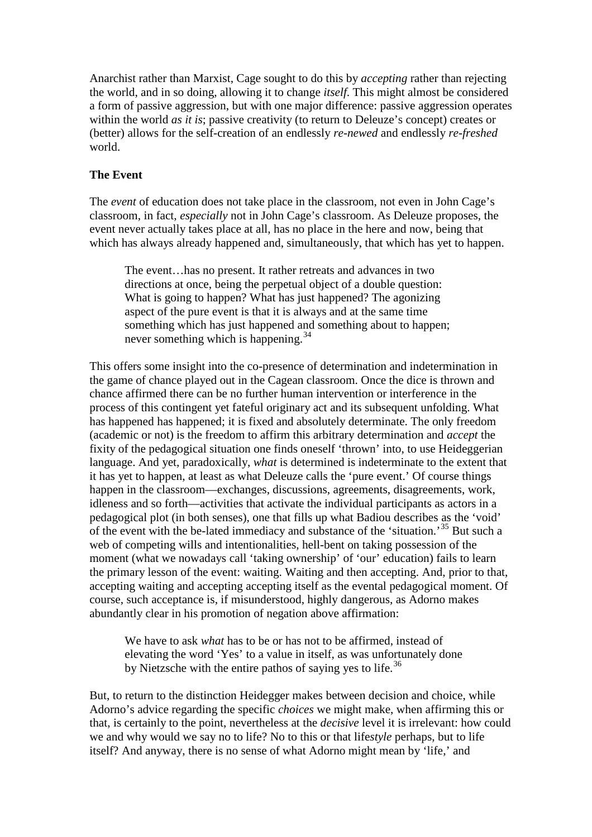Anarchist rather than Marxist, Cage sought to do this by *accepting* rather than rejecting the world, and in so doing, allowing it to change *itself*. This might almost be considered a form of passive aggression, but with one major difference: passive aggression operates within the world *as it is*; passive creativity (to return to Deleuze's concept) creates or (better) allows for the self-creation of an endlessly *re-newed* and endlessly *re-freshed* world.

### **The Event**

The *event* of education does not take place in the classroom, not even in John Cage's classroom, in fact, *especially* not in John Cage's classroom. As Deleuze proposes, the event never actually takes place at all, has no place in the here and now, being that which has always already happened and, simultaneously, that which has yet to happen.

The event…has no present. It rather retreats and advances in two directions at once, being the perpetual object of a double question: What is going to happen? What has just happened? The agonizing aspect of the pure event is that it is always and at the same time something which has just happened and something about to happen; never something which is happening.<sup>[34](#page-18-31)</sup>

This offers some insight into the co-presence of determination and indetermination in the game of chance played out in the Cagean classroom. Once the dice is thrown and chance affirmed there can be no further human intervention or interference in the process of this contingent yet fateful originary act and its subsequent unfolding. What has happened has happened; it is fixed and absolutely determinate. The only freedom (academic or not) is the freedom to affirm this arbitrary determination and *accept* the fixity of the pedagogical situation one finds oneself 'thrown' into, to use Heideggerian language. And yet, paradoxically, *what* is determined is indeterminate to the extent that it has yet to happen, at least as what Deleuze calls the 'pure event.' Of course things happen in the classroom—exchanges, discussions, agreements, disagreements, work, idleness and so forth—activities that activate the individual participants as actors in a pedagogical plot (in both senses), one that fills up what Badiou describes as the 'void' of the event with the be-lated immediacy and substance of the 'situation.'[35](#page-18-32) But such a web of competing wills and intentionalities, hell-bent on taking possession of the moment (what we nowadays call 'taking ownership' of 'our' education) fails to learn the primary lesson of the event: waiting. Waiting and then accepting. And, prior to that, accepting waiting and accepting accepting itself as the evental pedagogical moment. Of course, such acceptance is, if misunderstood, highly dangerous, as Adorno makes abundantly clear in his promotion of negation above affirmation:

We have to ask *what* has to be or has not to be affirmed, instead of elevating the word 'Yes' to a value in itself, as was unfortunately done by Nietzsche with the entire pathos of saying yes to life.<sup>[36](#page-18-33)</sup>

But, to return to the distinction Heidegger makes between decision and choice, while Adorno's advice regarding the specific *choices* we might make, when affirming this or that, is certainly to the point, nevertheless at the *decisive* level it is irrelevant: how could we and why would we say no to life? No to this or that life*style* perhaps, but to life itself? And anyway, there is no sense of what Adorno might mean by 'life,' and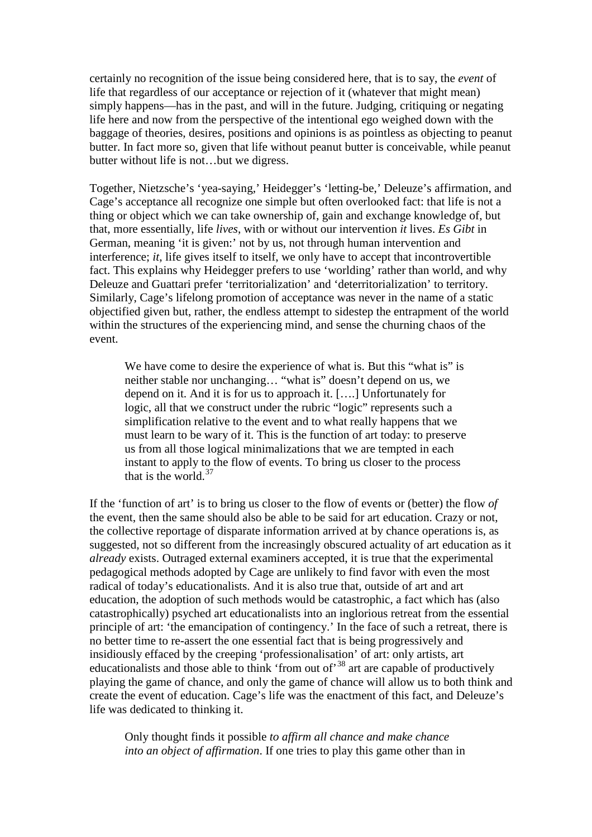certainly no recognition of the issue being considered here, that is to say, the *event* of life that regardless of our acceptance or rejection of it (whatever that might mean) simply happens—has in the past, and will in the future. Judging, critiquing or negating life here and now from the perspective of the intentional ego weighed down with the baggage of theories, desires, positions and opinions is as pointless as objecting to peanut butter. In fact more so, given that life without peanut butter is conceivable, while peanut butter without life is not…but we digress.

Together, Nietzsche's 'yea-saying,' Heidegger's 'letting-be,' Deleuze's affirmation, and Cage's acceptance all recognize one simple but often overlooked fact: that life is not a thing or object which we can take ownership of, gain and exchange knowledge of, but that, more essentially, life *lives*, with or without our intervention *it* lives. *Es Gibt* in German, meaning 'it is given:' not by us, not through human intervention and interference; *it*, life gives itself to itself, we only have to accept that incontrovertible fact. This explains why Heidegger prefers to use 'worlding' rather than world, and why Deleuze and Guattari prefer 'territorialization' and 'deterritorialization' to territory. Similarly, Cage's lifelong promotion of acceptance was never in the name of a static objectified given but, rather, the endless attempt to sidestep the entrapment of the world within the structures of the experiencing mind, and sense the churning chaos of the event.

We have come to desire the experience of what is. But this "what is" is neither stable nor unchanging… "what is" doesn't depend on us, we depend on it. And it is for us to approach it. [….] Unfortunately for logic, all that we construct under the rubric "logic" represents such a simplification relative to the event and to what really happens that we must learn to be wary of it. This is the function of art today: to preserve us from all those logical minimalizations that we are tempted in each instant to apply to the flow of events. To bring us closer to the process that is the world. $37$ 

If the 'function of art' is to bring us closer to the flow of events or (better) the flow *of* the event, then the same should also be able to be said for art education. Crazy or not, the collective reportage of disparate information arrived at by chance operations is, as suggested, not so different from the increasingly obscured actuality of art education as it *already* exists. Outraged external examiners accepted, it is true that the experimental pedagogical methods adopted by Cage are unlikely to find favor with even the most radical of today's educationalists. And it is also true that, outside of art and art education, the adoption of such methods would be catastrophic, a fact which has (also catastrophically) psyched art educationalists into an inglorious retreat from the essential principle of art: 'the emancipation of contingency.' In the face of such a retreat, there is no better time to re-assert the one essential fact that is being progressively and insidiously effaced by the creeping 'professionalisation' of art: only artists, art educationalists and those able to think 'from out of'<sup>[38](#page-18-35)</sup> art are capable of productively playing the game of chance, and only the game of chance will allow us to both think and create the event of education. Cage's life was the enactment of this fact, and Deleuze's life was dedicated to thinking it.

Only thought finds it possible *to affirm all chance and make chance into an object of affirmation*. If one tries to play this game other than in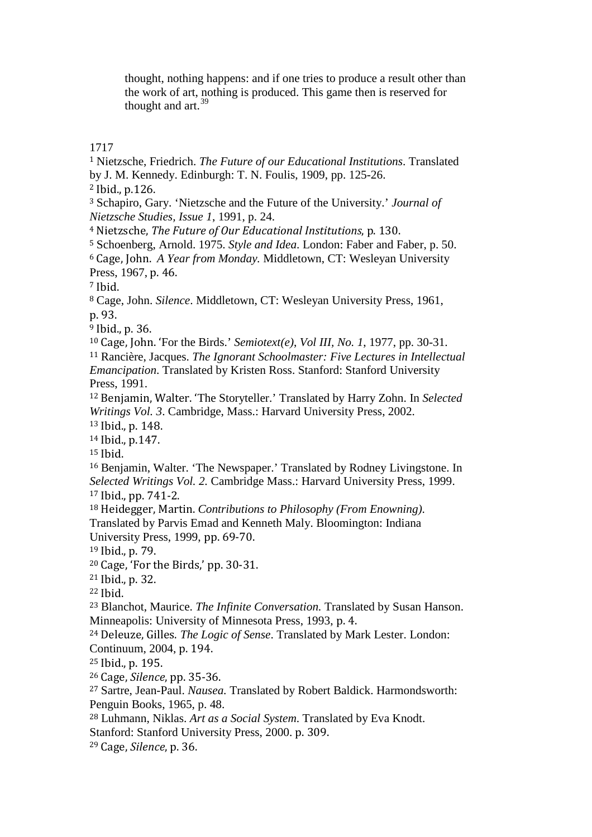thought, nothing happens: and if one tries to produce a result other than the work of art, nothing is produced. This game then is reserved for thought and  $art.<sup>39</sup>$  $art.<sup>39</sup>$  $art.<sup>39</sup>$ 

<span id="page-17-0"></span> Nietzsche, Friedrich. *The Future of our Educational Institutions*. Translated by J. M. Kennedy. Edinburgh: T. N. Foulis, 1909, pp. 125-26.

<span id="page-17-1"></span>Ibid., p.126.

 Schapiro, Gary. 'Nietzsche and the Future of the University.' *Journal of Nietzsche Studies, Issue 1*, 1991, p. 24.

Nietzsche, *The Future of Our Educational Institutions*, p. 130.

Schoenberg, Arnold. 1975. *Style and Idea*. London: Faber and Faber, p. 50.

 Cage, John. *A Year from Monday.* Middletown, CT: Wesleyan University Press, 1967, p. 46.

Ibid.

 Cage, John. *Silence*. Middletown, CT: Wesleyan University Press, 1961, p. 93.

Ibid., p. 36.

Cage, John. 'For the Birds.' *Semiotext(e)*, *Vol III, No. 1*, 1977, pp. 30-31.

 Rancière, Jacques. *The Ignorant Schoolmaster: Five Lectures in Intellectual Emancipation*. Translated by Kristen Ross. Stanford: Stanford University Press, 1991.

 Benjamin, Walter. 'The Storyteller.' Translated by Harry Zohn. In *Selected Writings Vol. 3*. Cambridge, Mass.: Harvard University Press, 2002.

Ibid., p. 148.

Ibid., p.147.

Ibid.

 Benjamin, Walter. 'The Newspaper.' Translated by Rodney Livingstone. In *Selected Writings Vol. 2.* Cambridge Mass.: Harvard University Press, 1999. Ibid., pp. 741-2.

 Heidegger, Martin. *Contributions to Philosophy (From Enowning)*. Translated by Parvis Emad and Kenneth Maly. Bloomington: Indiana University Press, 1999, pp. 69-70.

Ibid., p. 79.

Cage, 'For the Birds,' pp. 30-31.

Ibid., p. 32.

Ibid.

 Blanchot, Maurice. *The Infinite Conversation.* Translated by Susan Hanson. Minneapolis: University of Minnesota Press, 1993, p. 4.

 Deleuze, Gilles. *The Logic of Sense*. Translated by Mark Lester. London: Continuum, 2004, p. 194.

Ibid., p. 195.

Cage, *Silence*, pp. 35-36.

 Sartre, Jean-Paul. *Nausea.* Translated by Robert Baldick. Harmondsworth: Penguin Books, 1965, p. 48.

Luhmann, Niklas. *Art as a Social System*. Translated by Eva Knodt.

Stanford: Stanford University Press, 2000. p. 309.

Cage, *Silence*, p. 36.